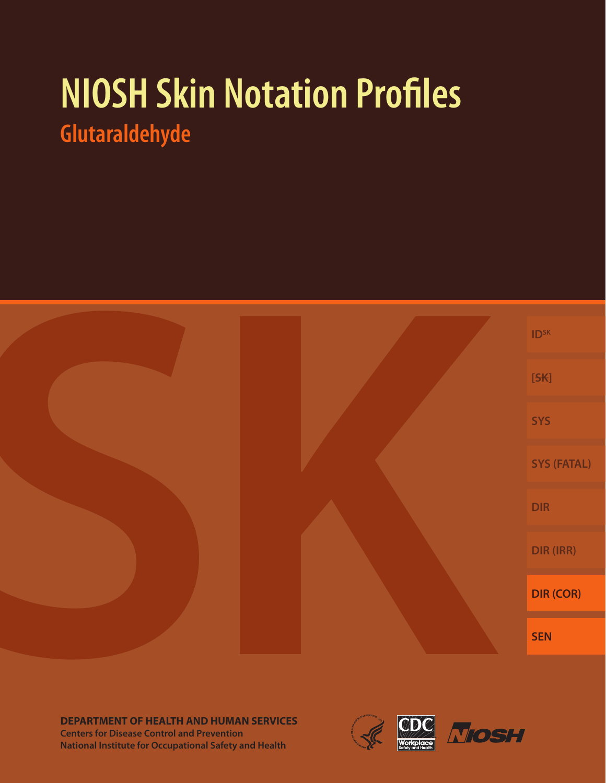# **NIOSH Skin Notation Profiles Glutaraldehyde**



**DEPARTMENT OF HEALTH AND HUMAN SERVICES Centers for Disease Control and Prevention National Institute for Occupational Safety and Health**

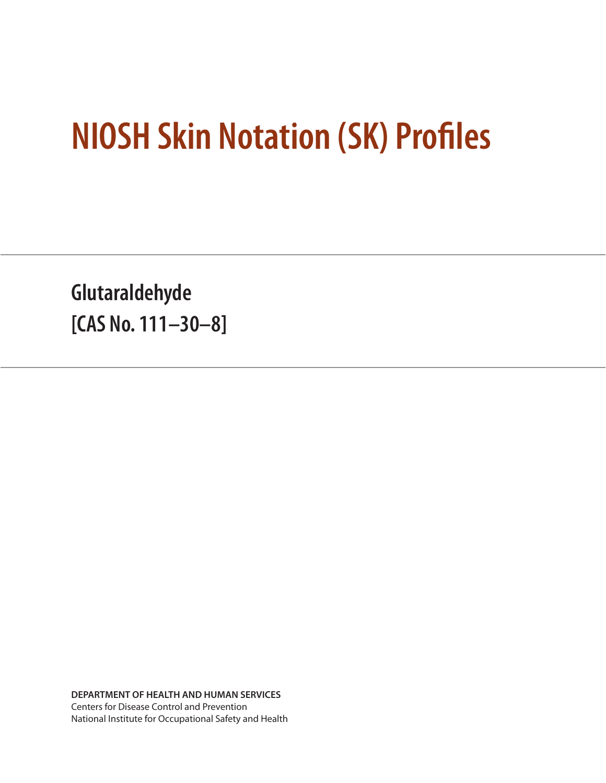# **NIOSH Skin Notation (SK) Profiles**

**Glutaraldehyde [CAS No. 111–30–8]**

**DEPARTMENT OF HEALTH AND HUMAN SERVICES** Centers for Disease Control and Prevention National Institute for Occupational Safety and Health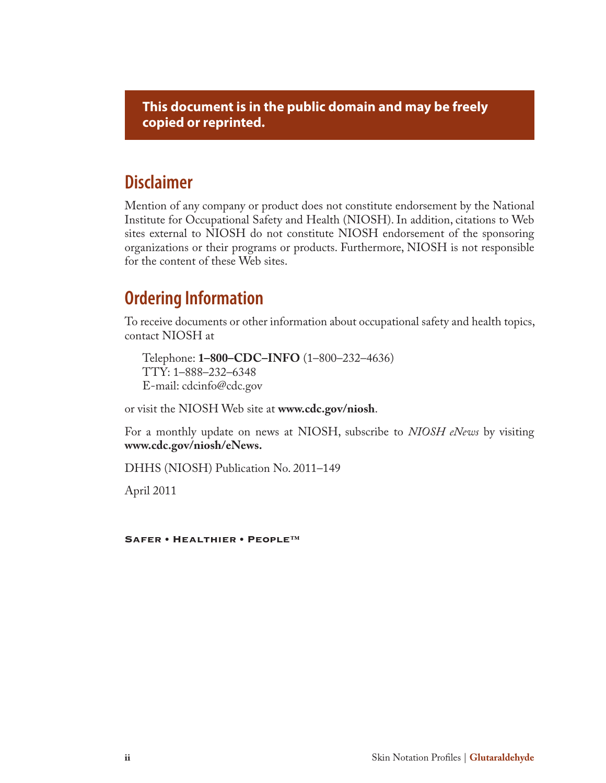**This document is in the public domain and may be freely copied or reprinted.**

# **Disclaimer**

Mention of any company or product does not constitute endorsement by the National Institute for Occupational Safety and Health (NIOSH). In addition, citations to Web sites external to NIOSH do not constitute NIOSH endorsement of the sponsoring organizations or their programs or products. Furthermore, NIOSH is not responsible for the content of these Web sites.

# **Ordering Information**

To receive documents or other information about occupational safety and health topics, contact NIOSH at

Telephone: **1–800–CDC–INFO** (1–800–232–4636) TTY: 1–888–232–6348 E-mail: cdcinfo@cdc.gov

or visit the NIOSH Web site at **www.cdc.gov/niosh**.

For a monthly update on news at NIOSH, subscribe to *NIOSH eNews* by visiting **www.cdc.gov/niosh/eNews.**

DHHS (NIOSH) Publication No. 2011–149

April 2011

Safer • Healthier • People™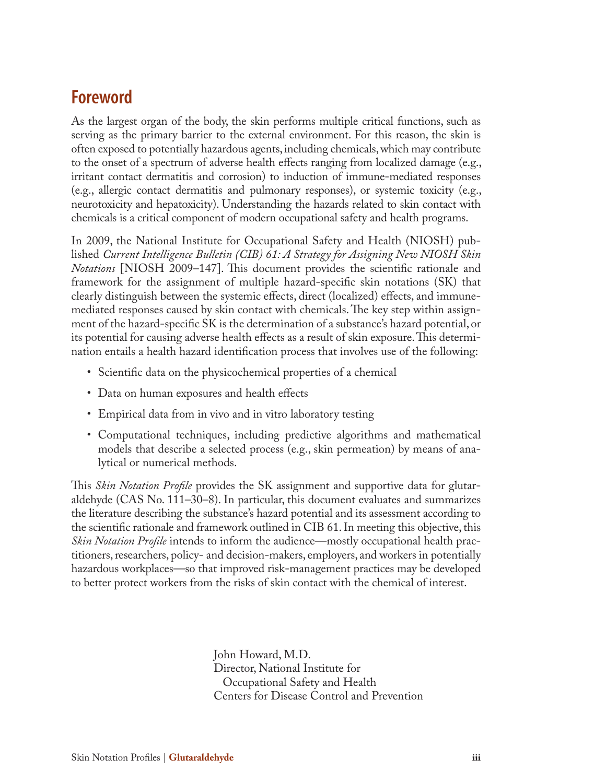# **Foreword**

As the largest organ of the body, the skin performs multiple critical functions, such as serving as the primary barrier to the external environment. For this reason, the skin is often exposed to potentially hazardous agents, including chemicals, which may contribute to the onset of a spectrum of adverse health effects ranging from localized damage (e.g., irritant contact dermatitis and corrosion) to induction of immune-mediated responses (e.g., allergic contact dermatitis and pulmonary responses), or systemic toxicity (e.g., neurotoxicity and hepatoxicity). Understanding the hazards related to skin contact with chemicals is a critical component of modern occupational safety and health programs.

In 2009, the National Institute for Occupational Safety and Health (NIOSH) published *Current Intelligence Bulletin (CIB) 61: A Strategy for Assigning New NIOSH Skin Notations* [NIOSH 2009–147]. This document provides the scientific rationale and framework for the assignment of multiple hazard-specific skin notations (SK) that clearly distinguish between the systemic effects, direct (localized) effects, and immunemediated responses caused by skin contact with chemicals. The key step within assignment of the hazard-specific SK is the determination of a substance's hazard potential, or its potential for causing adverse health effects as a result of skin exposure. This determination entails a health hazard identification process that involves use of the following:

- Scientific data on the physicochemical properties of a chemical
- Data on human exposures and health effects
- Empirical data from in vivo and in vitro laboratory testing
- Computational techniques, including predictive algorithms and mathematical models that describe a selected process (e.g., skin permeation) by means of analytical or numerical methods.

This *Skin Notation Profile* provides the SK assignment and supportive data for glutaraldehyde (CAS No. 111–30–8). In particular, this document evaluates and summarizes the literature describing the substance's hazard potential and its assessment according to the scientific rationale and framework outlined in CIB 61. In meeting this objective, this *Skin Notation Profile* intends to inform the audience—mostly occupational health practitioners, researchers, policy- and decision-makers, employers, and workers in potentially hazardous workplaces—so that improved risk-management practices may be developed to better protect workers from the risks of skin contact with the chemical of interest.

> John Howard, M.D. Director, National Institute for Occupational Safety and Health Centers for Disease Control and Prevention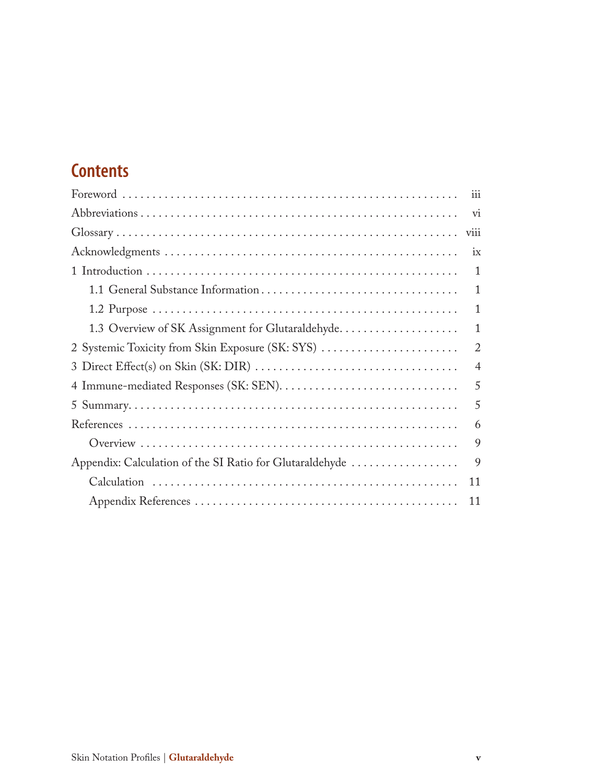# **Contents**

| iii            |
|----------------|
| vi             |
| viii           |
| ix             |
| 1              |
| $\mathbf{1}$   |
| $\mathbf{1}$   |
| $\mathbf{1}$   |
| $\overline{2}$ |
| $\overline{4}$ |
| 5              |
| 5              |
| 6              |
| 9              |
| 9              |
| 11             |
| 11             |
|                |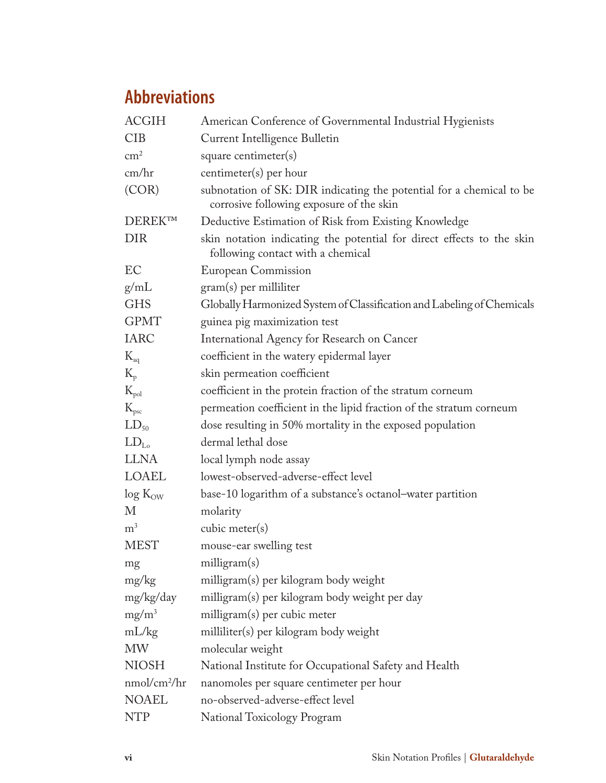# **Abbreviations**

| <b>ACGIH</b>             | American Conference of Governmental Industrial Hygienists                                                        |
|--------------------------|------------------------------------------------------------------------------------------------------------------|
| <b>CIB</b>               | Current Intelligence Bulletin                                                                                    |
| $\text{cm}^2$            | square centimeter(s)                                                                                             |
| cm/hr                    | centimeter(s) per hour                                                                                           |
| (COR)                    | subnotation of SK: DIR indicating the potential for a chemical to be<br>corrosive following exposure of the skin |
| <b>DEREKTM</b>           | Deductive Estimation of Risk from Existing Knowledge                                                             |
| <b>DIR</b>               | skin notation indicating the potential for direct effects to the skin<br>following contact with a chemical       |
| EC                       | European Commission                                                                                              |
| g/mL                     | gram(s) per milliliter                                                                                           |
| <b>GHS</b>               | Globally Harmonized System of Classification and Labeling of Chemicals                                           |
| <b>GPMT</b>              | guinea pig maximization test                                                                                     |
| <b>IARC</b>              | International Agency for Research on Cancer                                                                      |
| $K_{aq}$                 | coefficient in the watery epidermal layer                                                                        |
| $K_{p}$                  | skin permeation coefficient                                                                                      |
| $K_{pol}$                | coefficient in the protein fraction of the stratum corneum                                                       |
| $K_{\text{psc}}$         | permeation coefficient in the lipid fraction of the stratum corneum                                              |
| $LD_{50}$                | dose resulting in 50% mortality in the exposed population                                                        |
| $LD_{L_0}$               | dermal lethal dose                                                                                               |
| <b>LLNA</b>              | local lymph node assay                                                                                           |
| LOAEL                    | lowest-observed-adverse-effect level                                                                             |
| $log K_{OW}$             | base-10 logarithm of a substance's octanol–water partition                                                       |
| М                        | molarity                                                                                                         |
| m <sup>3</sup>           | cubic meter $(s)$                                                                                                |
| <b>MEST</b>              | mouse-ear swelling test                                                                                          |
| mg                       | milligram(s)                                                                                                     |
| mg/kg                    | milligram(s) per kilogram body weight                                                                            |
| mg/kg/day                | milligram(s) per kilogram body weight per day                                                                    |
| $mg/m^3$                 | milligram(s) per cubic meter                                                                                     |
| mL/kg                    | milliliter(s) per kilogram body weight                                                                           |
| <b>MW</b>                | molecular weight                                                                                                 |
| <b>NIOSH</b>             | National Institute for Occupational Safety and Health                                                            |
| nmol/cm <sup>2</sup> /hr | nanomoles per square centimeter per hour                                                                         |
| <b>NOAEL</b>             | no-observed-adverse-effect level                                                                                 |
| <b>NTP</b>               | National Toxicology Program                                                                                      |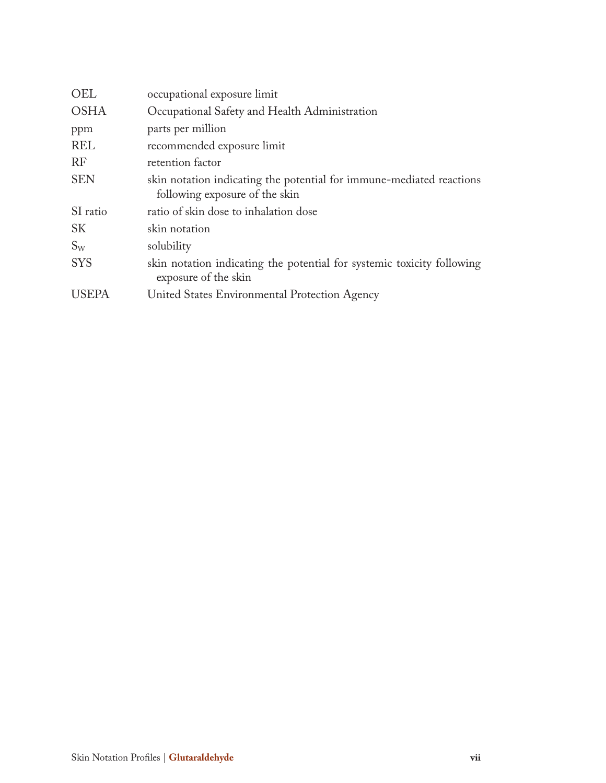| OEL          | occupational exposure limit                                                                            |  |  |
|--------------|--------------------------------------------------------------------------------------------------------|--|--|
| <b>OSHA</b>  | Occupational Safety and Health Administration                                                          |  |  |
| ppm          | parts per million                                                                                      |  |  |
| <b>REL</b>   | recommended exposure limit                                                                             |  |  |
| RF           | retention factor                                                                                       |  |  |
| <b>SEN</b>   | skin notation indicating the potential for immune-mediated reactions<br>following exposure of the skin |  |  |
| SI ratio     | ratio of skin dose to inhalation dose                                                                  |  |  |
| <b>SK</b>    | skin notation                                                                                          |  |  |
| $S_{W}$      | solubility                                                                                             |  |  |
| <b>SYS</b>   | skin notation indicating the potential for systemic toxicity following<br>exposure of the skin         |  |  |
| <b>USEPA</b> | United States Environmental Protection Agency                                                          |  |  |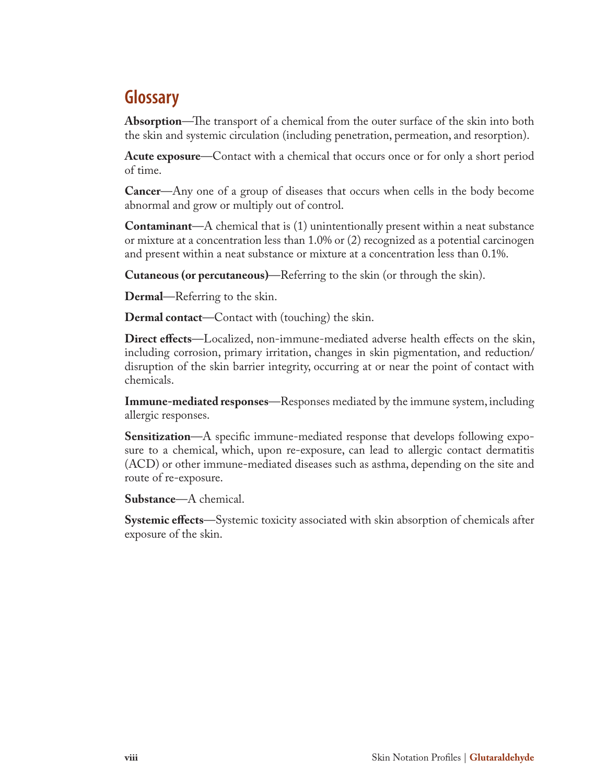# **Glossary**

**Absorption**—The transport of a chemical from the outer surface of the skin into both the skin and systemic circulation (including penetration, permeation, and resorption).

**Acute exposure**—Contact with a chemical that occurs once or for only a short period of time.

**Cancer**—Any one of a group of diseases that occurs when cells in the body become abnormal and grow or multiply out of control.

**Contaminant**—A chemical that is (1) unintentionally present within a neat substance or mixture at a concentration less than 1.0% or (2) recognized as a potential carcinogen and present within a neat substance or mixture at a concentration less than 0.1%.

**Cutaneous (or percutaneous)**—Referring to the skin (or through the skin).

**Dermal**—Referring to the skin.

**Dermal contact**—Contact with (touching) the skin.

**Direct effects**—Localized, non-immune-mediated adverse health effects on the skin, including corrosion, primary irritation, changes in skin pigmentation, and reduction/ disruption of the skin barrier integrity, occurring at or near the point of contact with chemicals.

**Immune-mediated responses**—Responses mediated by the immune system, including allergic responses.

**Sensitization**—A specific immune-mediated response that develops following exposure to a chemical, which, upon re-exposure, can lead to allergic contact dermatitis (ACD) or other immune-mediated diseases such as asthma, depending on the site and route of re-exposure.

**Substance**—A chemical.

**Systemic effects**—Systemic toxicity associated with skin absorption of chemicals after exposure of the skin.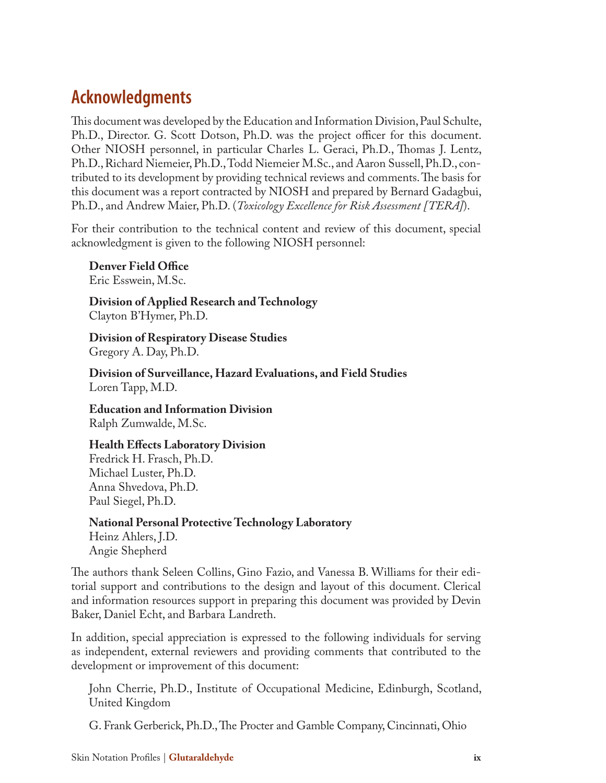# **Acknowledgments**

This document was developed by the Education and Information Division, Paul Schulte, Ph.D., Director. G. Scott Dotson, Ph.D. was the project officer for this document. Other NIOSH personnel, in particular Charles L. Geraci, Ph.D., Thomas J. Lentz, Ph.D., Richard Niemeier, Ph.D., Todd Niemeier M.Sc., and Aaron Sussell, Ph.D., contributed to its development by providing technical reviews and comments. The basis for this document was a report contracted by NIOSH and prepared by Bernard Gadagbui, Ph.D., and Andrew Maier, Ph.D. (*Toxicology Excellence for Risk Assessment [TERA]*).

For their contribution to the technical content and review of this document, special acknowledgment is given to the following NIOSH personnel:

**Denver Field Office** Eric Esswein, M.Sc.

**Division of Applied Research and Technology**  Clayton B'Hymer, Ph.D.

**Division of Respiratory Disease Studies**  Gregory A. Day, Ph.D.

**Division of Surveillance, Hazard Evaluations, and Field Studies** Loren Tapp, M.D.

**Education and Information Division**  Ralph Zumwalde, M.Sc.

#### **Health Effects Laboratory Division**

Fredrick H. Frasch, Ph.D. Michael Luster, Ph.D. Anna Shvedova, Ph.D. Paul Siegel, Ph.D.

**National Personal Protective Technology Laboratory** Heinz Ahlers, J.D. Angie Shepherd

The authors thank Seleen Collins, Gino Fazio, and Vanessa B. Williams for their editorial support and contributions to the design and layout of this document. Clerical and information resources support in preparing this document was provided by Devin Baker, Daniel Echt, and Barbara Landreth.

In addition, special appreciation is expressed to the following individuals for serving as independent, external reviewers and providing comments that contributed to the development or improvement of this document:

John Cherrie, Ph.D., Institute of Occupational Medicine, Edinburgh, Scotland, United Kingdom

G. Frank Gerberick, Ph.D., The Procter and Gamble Company, Cincinnati, Ohio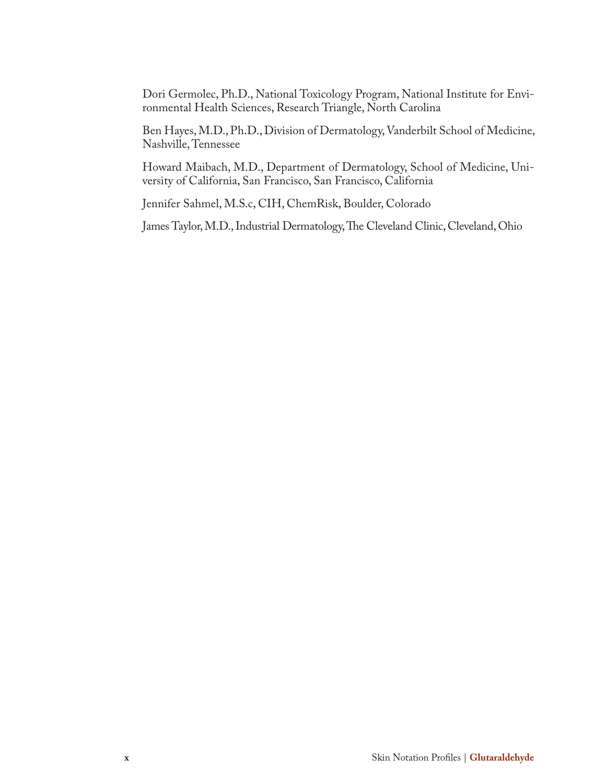Dori Germolec, Ph.D., National Toxicology Program, National Institute for Environmental Health Sciences, Research Triangle, North Carolina

Ben Hayes, M.D., Ph.D., Division of Dermatology, Vanderbilt School of Medicine, Nashville, Tennessee

Howard Maibach, M.D., Department of Dermatology, School of Medicine, University of California, San Francisco, San Francisco, California

Jennifer Sahmel, M.S.c, CIH, ChemRisk, Boulder, Colorado

James Taylor, M.D., Industrial Dermatology, The Cleveland Clinic, Cleveland, Ohio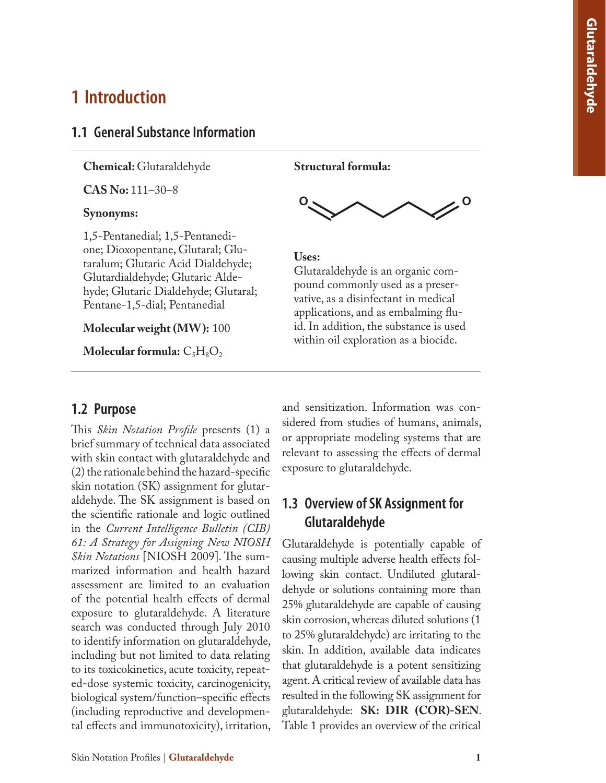# **1 Introduction**

#### **1.1 General Substance Information**

**Chemical:** Glutaraldehyde

**CAS No:** 111–30–8

#### **Synonyms:**

1,5-Pentanedial; 1,5-Pentanedi one; Dioxopentane, Glutaral; Glu taralum; Glutaric Acid Dialdehyde; Glutardialdehyde; Glutaric Alde hyde; Glutaric Dialdehyde; Glutaral; Pentane-1,5-dial; Pentanedial

#### **Molecular weight (MW):** 100

Molecular formula:  $C_5H_8O_2$ 

#### **1.2 Purpose**

This *Skin Notation Profile* presents (1) a brief summary of technical data associated with skin contact with glutaraldehyde and (2) the rationale behind the hazard-specific skin notation (SK) assignment for glutar aldehyde. The SK assignment is based on the scientific rationale and logic outlined in the *Current Intelligence Bulletin (CIB) 61: A Strategy for Assigning New NIOSH Skin Notations* [NIOSH 2009]. The sum marized information and health hazard assessment are limited to an evaluation of the potential health effects of dermal exposure to glutaraldehyde. A literature search was conducted through July 2010 to identify information on glutaraldehyde, including but not limited to data relating to its toxicokinetics, acute toxicity, repeat ed-dose systemic toxicity, carcinogenicity, biological system/function–specific effects (including reproductive and developmen tal effects and immunotoxicity), irritation,

**Structural formula:**



#### **Uses:**

Glutaraldehyde is an organic com pound commonly used as a preser vative, as a disinfectant in medical applications, and as embalming flu id. In addition, the substance is used Uses:<br>
Glutaraldehyde is an organic com-<br>
pound commonly used as a preser-<br>
vative, as a disinfectant in medical<br>
applications, and as embalming flu-<br>
id. In addition, the substance is use<br>
within oil exploration as a bioc

and sensitization. Information was con sidered from studies of humans, animals, or appropriate modeling systems that are relevant to assessing the effects of dermal exposure to glutaraldehyde.

### **1.3 Overview of SK Assignment for Glutaraldehyde**

Glutaraldehyde is potentially capable of causing multiple adverse health effects fol lowing skin contact. Undiluted glutaral dehyde or solutions containing more than 25% glutaraldehyde are capable of causing skin corrosion, whereas diluted solutions (1 to 25% glutaraldehyde) are irritating to the skin. In addition, available data indicates that glutaraldehyde is a potent sensitizing agent. A critical review of available data has resulted in the following SK assignment for glutaraldehyde: **SK: DIR (COR)-SEN**. Table 1 provides an overview of the critical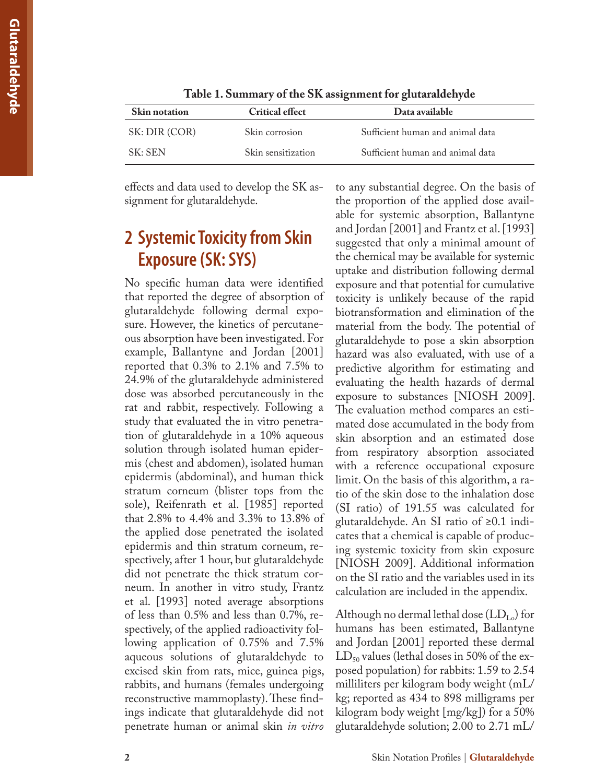| <b>Skin notation</b> | <b>Critical effect</b> | Data available                   |  |
|----------------------|------------------------|----------------------------------|--|
| SK: DIR (COR)        | Skin corrosion         | Sufficient human and animal data |  |
| SK: SEN              | Skin sensitization     | Sufficient human and animal data |  |

**Table 1. Summary of the SK assignment for glutaraldehyde**

effects and data used to develop the SK assignment for glutaraldehyde.

# **2 Systemic Toxicity from Skin Exposure (SK: SYS)**

No specific human data were identified that reported the degree of absorption of glutaraldehyde following dermal exposure. However, the kinetics of percutaneous absorption have been investigated. For example, Ballantyne and Jordan [2001] reported that 0.3% to 2.1% and 7.5% to 24.9% of the glutaraldehyde administered dose was absorbed percutaneously in the rat and rabbit, respectively. Following a study that evaluated the in vitro penetration of glutaraldehyde in a 10% aqueous solution through isolated human epidermis (chest and abdomen), isolated human epidermis (abdominal), and human thick stratum corneum (blister tops from the sole), Reifenrath et al. [1985] reported that 2.8% to 4.4% and 3.3% to 13.8% of the applied dose penetrated the isolated epidermis and thin stratum corneum, respectively, after 1 hour, but glutaraldehyde did not penetrate the thick stratum corneum. In another in vitro study, Frantz et al. [1993] noted average absorptions of less than 0.5% and less than 0.7%, respectively, of the applied radioactivity following application of 0.75% and 7.5% aqueous solutions of glutaraldehyde to excised skin from rats, mice, guinea pigs, rabbits, and humans (females undergoing reconstructive mammoplasty). These findings indicate that glutaraldehyde did not penetrate human or animal skin *in vitro*

to any substantial degree. On the basis of the proportion of the applied dose available for systemic absorption, Ballantyne and Jordan [2001] and Frantz et al. [1993] suggested that only a minimal amount of the chemical may be available for systemic uptake and distribution following dermal exposure and that potential for cumulative toxicity is unlikely because of the rapid biotransformation and elimination of the material from the body. The potential of glutaraldehyde to pose a skin absorption hazard was also evaluated, with use of a predictive algorithm for estimating and evaluating the health hazards of dermal exposure to substances [NIOSH 2009]. The evaluation method compares an estimated dose accumulated in the body from skin absorption and an estimated dose from respiratory absorption associated with a reference occupational exposure limit. On the basis of this algorithm, a ratio of the skin dose to the inhalation dose (SI ratio) of 191.55 was calculated for glutaraldehyde. An SI ratio of ≥0.1 indicates that a chemical is capable of producing systemic toxicity from skin exposure [NIOSH 2009]. Additional information on the SI ratio and the variables used in its calculation are included in the appendix.

Although no dermal lethal dose  $(LD_{L_0})$  for humans has been estimated, Ballantyne and Jordan [2001] reported these dermal  $LD_{50}$  values (lethal doses in 50% of the exposed population) for rabbits: 1.59 to 2.54 milliliters per kilogram body weight (mL/ kg; reported as 434 to 898 milligrams per kilogram body weight [mg/kg]) for a 50% glutaraldehyde solution; 2.00 to 2.71 mL/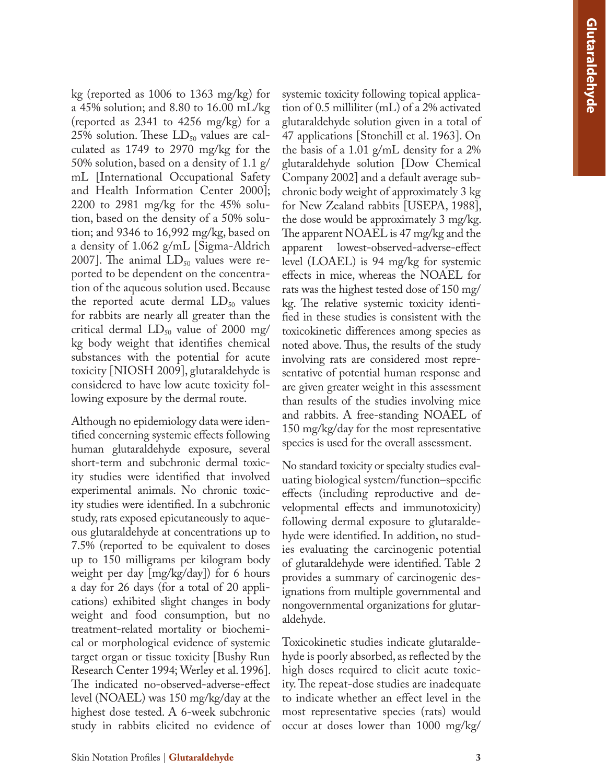kg (reported as 1006 to 1363 mg/kg) for a 45% solution; and 8.80 to 16.00 mL/kg (reported as 2341 to 4256 mg/kg) for a  $25\%$  solution. These  $LD_{50}$  values are calculated as 1749 to 2970 mg/kg for the 50% solution, based on a density of 1.1 g/ mL International Occupational Safety and Health Information Center 2000]; 2200 to 2981 mg/kg for the 45% solu tion, based on the density of a 50% solu tion; and 9346 to 16,992 mg/kg, based on a density of 1.062 g/mL [Sigma-Aldrich  $2007$ ]. The animal  $LD_{50}$  values were reported to be dependent on the concentra tion of the aqueous solution used. Because the reported acute dermal  $LD_{50}$  values for rabbits are nearly all greater than the critical dermal  $LD_{50}$  value of 2000 mg/ kg body weight that identifies chemical substances with the potential for acute toxicity [NIOSH 2009], glutaraldehyde is considered to have low acute toxicity fol lowing exposure by the dermal route.

Although no epidemiology data were iden tified concerning systemic effects following human glutaraldehyde exposure, several short-term and subchronic dermal toxic ity studies were identified that involved experimental animals. No chronic toxic ity studies were identified. In a subchronic study, rats exposed epicutaneously to aque ous glutaraldehyde at concentrations up to 7.5% (reported to be equivalent to doses up to 150 milligrams per kilogram body weight per day [mg/kg/day]) for 6 hours a day for 26 days (for a total of 20 appli cations) exhibited slight changes in body weight and food consumption, but no treatment-related mortality or biochemi cal or morphological evidence of systemic target organ or tissue toxicity [Bushy Run Research Center 1994; Werley et al. 1996]. The indicated no-observed-adverse-effect level (NOAEL) was 150 mg/kg/day at the highest dose tested. A 6-week subchronic study in rabbits elicited no evidence of

systemic toxicity following topical applica tion of 0.5 milliliter (mL) of a 2% activated glutaraldehyde solution given in a total of 47 applications [Stonehill et al. 1963]. On the basis of a 1.01 g/mL density for a 2% glutaraldehyde solution [Dow Chemical Company 2002] and a default average sub chronic body weight of approximately 3 kg for New Zealand rabbits [USEPA, 1988], the dose would be approximately 3 mg/kg. The apparent NOAEL is 47 mg/kg and the apparent lowest-observed-adverse-effect level (LOAEL) is 94 mg/kg for systemic effects in mice, whereas the NOAEL for rats was the highest tested dose of 150 mg/ kg. The relative systemic toxicity identified in these studies is consistent with the toxicokinetic differences among species as noted above. Thus, the results of the study involving rats are considered most repre sentative of potential human response and are given greater weight in this assessment than results of the studies involving mice and rabbits. A free-standing NOAEL of 150 mg/kg/day for the most representative species is used for the overall assessment.

No standard toxicity or specialty studies eval uating biological system/function–specific effects (including reproductive and de velopmental effects and immunotoxicity) following dermal exposure to glutaralde hyde were identified. In addition, no stud ies evaluating the carcinogenic potential of glutaraldehyde were identified. Table 2 provides a summary of carcinogenic des ignations from multiple governmental and nongovernmental organizations for glutar aldehyde.

Toxicokinetic studies indicate glutaralde hyde is poorly absorbed, as reflected by the high doses required to elicit acute toxic ity. The repeat-dose studies are inadequate to indicate whether an effect level in the most representative species (rats) would occur at doses lower than 1000 mg/kg/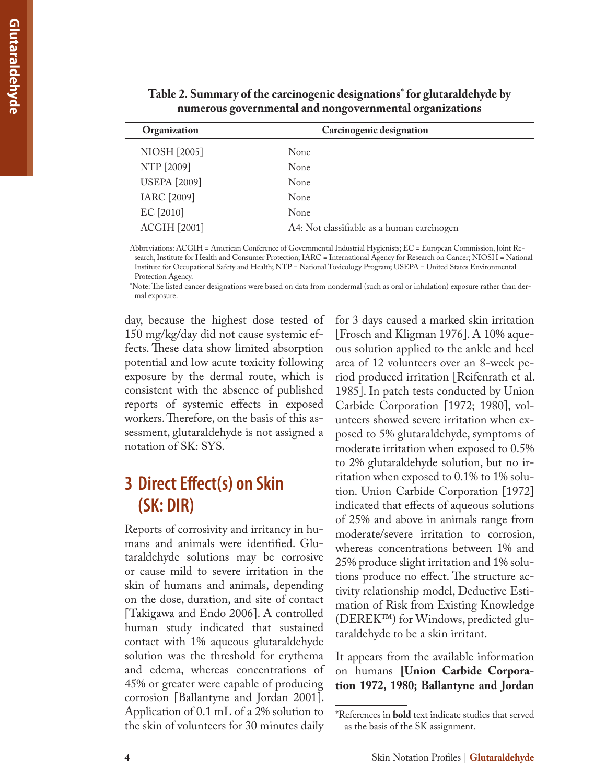| $\frac{1}{2}$       |                                            |  |  |
|---------------------|--------------------------------------------|--|--|
| Organization        | Carcinogenic designation                   |  |  |
| <b>NIOSH</b> [2005] | None                                       |  |  |
| NTP [2009]          | None                                       |  |  |
| <b>USEPA</b> [2009] | None                                       |  |  |
| IARC [2009]         | None                                       |  |  |
| EC [2010]           | None                                       |  |  |
| <b>ACGIH [2001]</b> | A4: Not classifiable as a human carcinogen |  |  |
|                     |                                            |  |  |

**Table 2. Summary of the carcinogenic designations\* for glutaraldehyde by numerous governmental and nongovernmental organizations**

Abbreviations: ACGIH = American Conference of Governmental Industrial Hygienists; EC = European Commission, Joint Research, Institute for Health and Consumer Protection; IARC = International Agency for Research on Cancer; NIOSH = National Institute for Occupational Safety and Health; NTP = National Toxicology Program; USEPA = United States Environmental Protection Agency.

\*Note: The listed cancer designations were based on data from nondermal (such as oral or inhalation) exposure rather than dermal exposure.

day, because the highest dose tested of 150 mg/kg/day did not cause systemic effects. These data show limited absorption potential and low acute toxicity following exposure by the dermal route, which is consistent with the absence of published reports of systemic effects in exposed workers. Therefore, on the basis of this assessment, glutaraldehyde is not assigned a notation of SK: SYS.

# **3 Direct Effect(s) on Skin (SK: DIR)**

Reports of corrosivity and irritancy in humans and animals were identified. Glutaraldehyde solutions may be corrosive or cause mild to severe irritation in the skin of humans and animals, depending on the dose, duration, and site of contact [Takigawa and Endo 2006]. A controlled human study indicated that sustained contact with 1% aqueous glutaraldehyde solution was the threshold for erythema and edema, whereas concentrations of 45% or greater were capable of producing corrosion [Ballantyne and Jordan 2001]. Application of 0.1 mL of a 2% solution to the skin of volunteers for 30 minutes daily

for 3 days caused a marked skin irritation [Frosch and Kligman 1976]. A 10% aqueous solution applied to the ankle and heel area of 12 volunteers over an 8-week period produced irritation [Reifenrath et al. 1985]. In patch tests conducted by Union Carbide Corporation [1972; 1980], volunteers showed severe irritation when exposed to 5% glutaraldehyde, symptoms of moderate irritation when exposed to 0.5% to 2% glutaraldehyde solution, but no irritation when exposed to 0.1% to 1% solution. Union Carbide Corporation [1972] indicated that effects of aqueous solutions of 25% and above in animals range from moderate/severe irritation to corrosion, whereas concentrations between 1% and 25% produce slight irritation and 1% solutions produce no effect. The structure activity relationship model, Deductive Estimation of Risk from Existing Knowledge (DEREK™) for Windows, predicted glutaraldehyde to be a skin irritant.

It appears from the available information on humans **[Union Carbide Corporation 1972, 1980; Ballantyne and Jordan** 

<sup>\*</sup>References in **bold** text indicate studies that served as the basis of the SK assignment.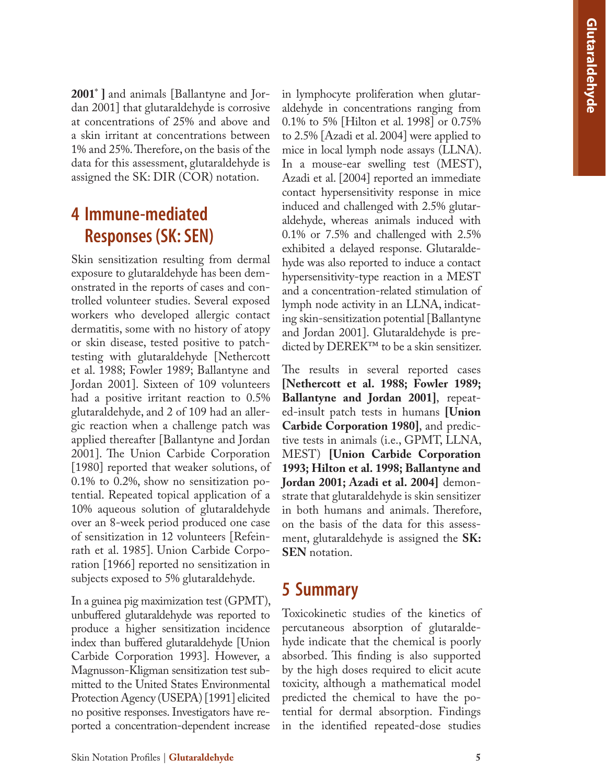**2001** \* **]** and animals [Ballantyne and Jor dan 2001] that glutaraldehyde is corrosive at concentrations of 25% and above and a skin irritant at concentrations between 1% and 25%. Therefore, on the basis of the data for this assessment, glutaraldehyde is assigned the SK: DIR (COR) notation.

# **4 Immune-mediated Responses (SK: SEN)**

Skin sensitization resulting from dermal exposure to glutaraldehyde has been dem onstrated in the reports of cases and con trolled volunteer studies. Several exposed workers who developed allergic contact dermatitis, some with no history of atopy or skin disease, tested positive to patchtesting with glutaraldehyde [Nethercott et al. 1988; Fowler 1989; Ballantyne and Jordan 2001]. Sixteen of 109 volunteers had a positive irritant reaction to 0.5% glutaraldehyde, and 2 of 109 had an aller gic reaction when a challenge patch was applied thereafter [Ballantyne and Jordan 2001]. The Union Carbide Corporation [1980] reported that weaker solutions, of 0.1% to 0.2%, show no sensitization po tential. Repeated topical application of a 10% aqueous solution of glutaraldehyde over an 8-week period produced one case of sensitization in 12 volunteers [Refein rath et al. 1985]. Union Carbide Corpo ration [1966] reported no sensitization in subjects exposed to 5% glutaraldehyde.

In a guinea pig maximization test (GPMT), unbuffered glutaraldehyde was reported to produce a higher sensitization incidence index than buffered glutaraldehyde [Union Carbide Corporation 1993]. However, a Magnusson-Kligman sensitization test sub mitted to the United States Environmental Protection Agency (USEPA) [1991] elicited no positive responses. Investigators have re ported a concentration-dependent increase

in lymphocyte proliferation when glutar aldehyde in concentrations ranging from 0.1% to 5% [Hilton et al. 1998] or 0.75% to 2.5% [Azadi et al. 2004] were applied to mice in local lymph node assays (LLNA). In a mouse-ear swelling test (MEST), Azadi et al. [2004] reported an immediate contact hypersensitivity response in mice induced and challenged with 2.5% glutar aldehyde, whereas animals induced with 0.1% or 7.5% and challenged with 2.5% exhibited a delayed response. Glutaralde hyde was also reported to induce a contact hypersensitivity-type reaction in a MEST and a concentration-related stimulation of lymph node activity in an LLNA, indicat ing skin-sensitization potential [Ballantyne and Jordan 2001]. Glutaraldehyde is pre dicted by DEREK™ to be a skin sensitizer.

The results in several reported cases **[Nethercott et al. 1988; Fowler 1989; Ballantyne and Jordan 2001]**, repeat ed-insult patch tests in humans **[Union Carbide Corporation 1980]**, and predic tive tests in animals (i.e., GPMT, LLNA, MEST) **[Union Carbide Corporation 1993; Hilton et al. 1998; Ballantyne and Jordan 2001; Azadi et al. 2004]** demon strate that glutaraldehyde is skin sensitizer in both humans and animals. Therefore, on the basis of the data for this assess ment, glutaraldehyde is assigned the **SK: SEN** notation.

# **5 Summary**

Toxicokinetic studies of the kinetics of percutaneous absorption of glutaralde hyde indicate that the chemical is poorly absorbed. This finding is also supported by the high doses required to elicit acute toxicity, although a mathematical model predicted the chemical to have the po tential for dermal absorption. Findings in the identified repeated-dose studies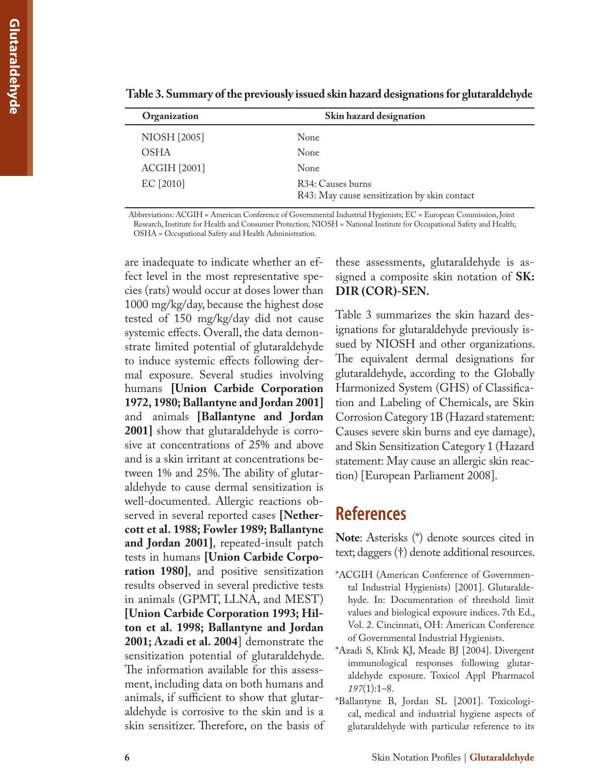| Organization        | Skin hazard designation                                           |  |
|---------------------|-------------------------------------------------------------------|--|
| NIOSH [2005]        | None                                                              |  |
| <b>OSHA</b>         | None                                                              |  |
| <b>ACGIH [2001]</b> | None.                                                             |  |
| EC [2010]           | R34: Causes burns<br>R43: May cause sensitization by skin contact |  |

**Table 3. Summary of the previously issued skin hazard designations for glutaraldehyde** 

Abbreviations: ACGIH = American Conference of Governmental Industrial Hygienists; EC = European Commission, Joint Research, Institute for Health and Consumer Protection; NIOSH = National Institute for Occupational Safety and Health; OSHA = Occupational Safety and Health Administration.

are inadequate to indicate whether an effect level in the most representative species (rats) would occur at doses lower than 1000 mg/kg/day, because the highest dose tested of 150 mg/kg/day did not cause systemic effects. Overall, the data demonstrate limited potential of glutaraldehyde to induce systemic effects following dermal exposure. Several studies involving humans **[Union Carbide Corporation 1972, 1980; Ballantyne and Jordan 2001]** and animals **[Ballantyne and Jordan 2001]** show that glutaraldehyde is corrosive at concentrations of 25% and above and is a skin irritant at concentrations between 1% and 25%. The ability of glutaraldehyde to cause dermal sensitization is well-documented. Allergic reactions observed in several reported cases **[Nethercott et al. 1988; Fowler 1989; Ballantyne and Jordan 2001]**, repeated-insult patch tests in humans **[Union Carbide Corporation 1980]**, and positive sensitization results observed in several predictive tests in animals (GPMT, LLNA, and MEST) **[Union Carbide Corporation 1993; Hilton et al. 1998; Ballantyne and Jordan 2001; Azadi et al. 2004**] demonstrate the sensitization potential of glutaraldehyde. The information available for this assessment, including data on both humans and animals, if sufficient to show that glutaraldehyde is corrosive to the skin and is a skin sensitizer. Therefore, on the basis of

these assessments, glutaraldehyde is assigned a composite skin notation of **SK: DIR (COR)-SEN.** 

Table 3 summarizes the skin hazard designations for glutaraldehyde previously issued by NIOSH and other organizations. The equivalent dermal designations for glutaraldehyde, according to the Globally Harmonized System (GHS) of Classification and Labeling of Chemicals, are Skin Corrosion Category 1B (Hazard statement: Causes severe skin burns and eye damage), and Skin Sensitization Category 1 (Hazard statement: May cause an allergic skin reaction) [European Parliament 2008].

### **References**

**Note**: Asterisks (\*) denote sources cited in text; daggers (†) denote additional resources.

- \*ACGIH (American Conference of Governmental Industrial Hygienists) [2001]. Glutaraldehyde. In: Documentation of threshold limit values and biological exposure indices. 7th Ed., Vol. 2. Cincinnati, OH: American Conference of Governmental Industrial Hygienists.
- \*Azadi S, Klink KJ, Meade BJ [2004]. Divergent immunological responses following glutaraldehyde exposure. Toxicol Appl Pharmacol *197*(1):1–8.
- \*Ballantyne B, Jordan SL [2001]. Toxicological, medical and industrial hygiene aspects of glutaraldehyde with particular reference to its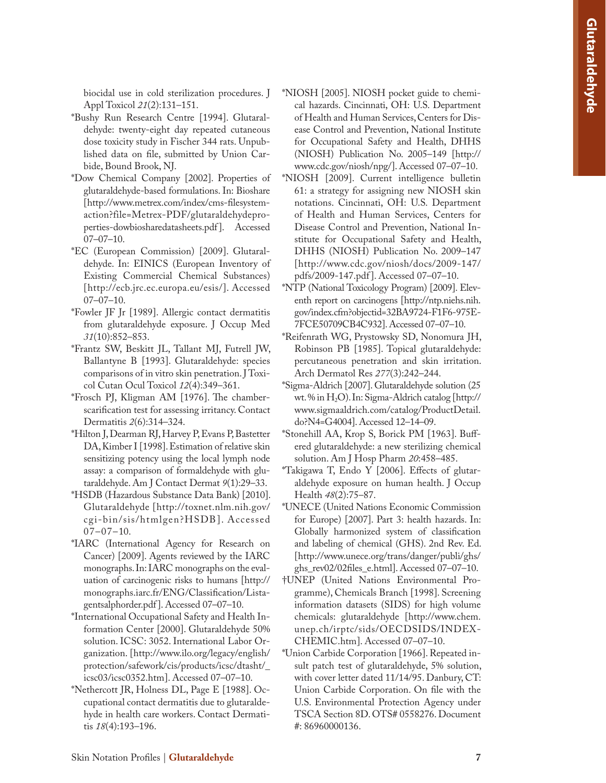biocidal use in cold sterilization procedures. J Appl Toxicol *21*(2):131–151.

- \*Bushy Run Research Centre [1994]. Glutaral dehyde: twenty-eight day repeated cutaneous dose toxicity study in Fischer 344 rats. Unpub lished data on file, submitted by Union Car bide, Bound Brook, NJ.
- \*Dow Chemical Company [2002]. Properties of glutaraldehyde-based formulations. In: Bioshare [http://www.metrex.com/index/cms-filesystemaction?file=Metrex-PDF/glutaraldehydeproperties-dowbiosharedatasheets.pdf]. Accessed 07–07–10.
- \*EC (European Commission) [2009]. Glutaral dehyde. In: EINICS (European Inventory of Existing Commercial Chemical Substances) [http://ecb.jrc.ec.europa.eu/esis/]. Accessed 07–07–10.
- \*Fowler JF Jr [1989]. Allergic contact dermatitis from glutaraldehyde exposure. J Occup Med *31*(10):852–853.
- \*Frantz SW, Beskitt JL, Tallant MJ, Futrell JW, Ballantyne B [1993]. Glutaraldehyde: species comparisons of in vitro skin penetration. J Toxi col Cutan Ocul Toxicol *12*(4):349–361.
- \*Frosch PJ, Kligman AM [1976]. The chamberscarification test for assessing irritancy. Contact Dermatitis *2*(6):314–324.
- \*Hilton J, Dearman RJ, Harvey P, Evans P, Bastetter DA, Kimber I [1998]. Estimation of relative skin sensitizing potency using the local lymph node assay: a comparison of formaldehyde with glu taraldehyde. Am J Contact Dermat *9*(1):29–33.
- \*HSDB (Hazardous Substance Data Bank) [2010]. Glutaraldehyde [http://toxnet.nlm.nih.gov/ cgi-bin/sis/htmlgen?HSDB]. Accessed  $07-07-10.$
- \*IARC (International Agency for Research on Cancer) [2009]. Agents reviewed by the IARC monographs. In: IARC monographs on the eval uation of carcinogenic risks to humans [http:// monographs.iarc.fr/ENG/Classification/Lista gentsalphorder.pdf]. Accessed 07–07–10.
- \*International Occupational Safety and Health In formation Center [2000]. Glutaraldehyde 50% solution. ICSC: 3052. International Labor Or ganization. [http://www.ilo.org/legacy/english/ protection/safework/cis/products/icsc/dtasht/\_ icsc03/icsc0352.htm]. Accessed 07–07–10.
- \*Nethercott JR, Holness DL, Page E [1988]. Oc cupational contact dermatitis due to glutaralde hyde in health care workers. Contact Dermati tis *18*(4):193–196.
- \*NIOSH [2005]. NIOSH pocket guide to chemi cal hazards. Cincinnati, OH: U.S. Department of Health and Human Services, Centers for Dis ease Control and Prevention, National Institute for Occupational Safety and Health, DHHS (NIOSH) Publication No. 2005–149 [http:// www.cdc.gov/niosh/npg/]. Accessed 07–07–10.
- \*NIOSH [2009]. Current intelligence bulletin 61: a strategy for assigning new NIOSH skin notations. Cincinnati, OH: U.S. Department of Health and Human Services, Centers for Disease Control and Prevention, National In stitute for Occupational Safety and Health, DHHS (NIOSH) Publication No. 2009–147 [http://www.cdc.gov/niosh/docs/2009-147/ pdfs/2009-147.pdf ]. Accessed 07–07–10.
- \*NTP (National Toxicology Program) [2009]. Elev enth report on carcinogens [http://ntp.niehs.nih. gov/index.cfm?objectid=32BA9724-F1F6-975E-7FCE50709CB4C932]. Accessed 07–07–10.
- \*Reifenrath WG, Prystowsky SD, Nonomura JH, Robinson PB [1985]. Topical glutaraldehyde: percutaneous penetration and skin irritation. Arch Dermatol Res *277*(3):242–244.
- \*Sigma-Aldrich [2007]. Glutaraldehyde solution (25 wt. % in H 2O). In: Sigma-Aldrich catalog [http:// www.sigmaaldrich.com/catalog/ProductDetail. do?N4=G4004]. Accessed 12–14–09.
- \*Stonehill AA, Krop S, Borick PM [1963]. Buffered glutaraldehyde: a new sterilizing chemical solution. Am J Hosp Pharm *20*:458–485.
- \*Takigawa T, Endo Y [2006]. Effects of glutar aldehyde exposure on human health. J Occup Health *48*(2):75–87.
- \*UNECE (United Nations Economic Commission for Europe) [2007]. Part 3: health hazards. In: Globally harmonized system of classification and labeling of chemical (GHS). 2nd Rev. Ed. [http://www.unece.org/trans/danger/publi/ghs/ ghs\_rev02/02files\_e.html]. Accessed 07–07–10.
- †UNEP (United Nations Environmental Pro gramme), Chemicals Branch [1998]. Screening information datasets (SIDS) for high volume chemicals: glutaraldehyde [http://www.chem. unep.ch/irptc/sids/OECDSIDS/INDEX - CHEMIC.htm]. Accessed 07–07–10.
- \*Union Carbide Corporation [1966]. Repeated in sult patch test of glutaraldehyde, 5% solution, with cover letter dated 11/14/95. Danbury, CT: Union Carbide Corporation. On file with the U.S. Environmental Protection Agency under TSCA Section 8D. OTS# 0558276. Document #: 86960000136.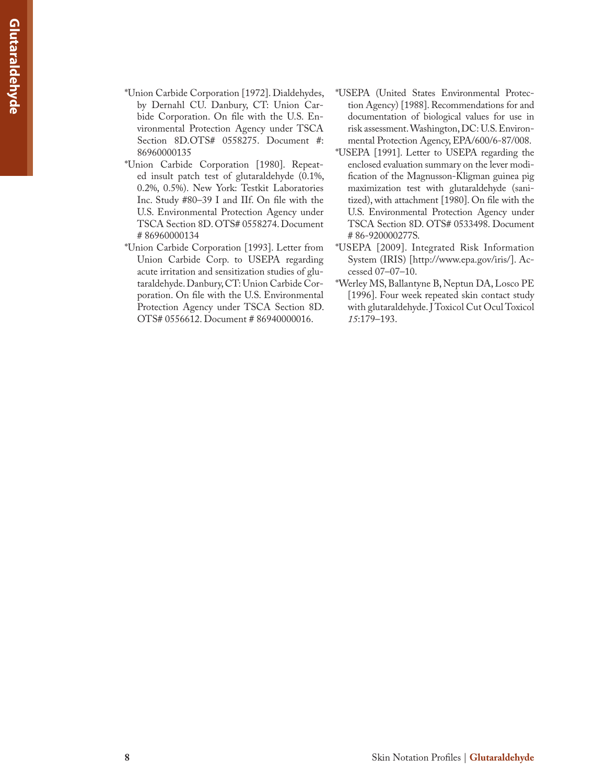- \*Union Carbide Corporation [1972]. Dialdehydes, by Dernahl CU. Danbury, CT: Union Carbide Corporation. On file with the U.S. Environmental Protection Agency under TSCA Section 8D.OTS# 0558275. Document #: 86960000135
- \*Union Carbide Corporation [1980]. Repeated insult patch test of glutaraldehyde (0.1%, 0.2%, 0.5%). New York: Testkit Laboratories Inc. Study #80–39 I and IIf. On file with the U.S. Environmental Protection Agency under TSCA Section 8D. OTS# 0558274. Document # 86960000134
- \*Union Carbide Corporation [1993]. Letter from Union Carbide Corp. to USEPA regarding acute irritation and sensitization studies of glutaraldehyde. Danbury, CT: Union Carbide Corporation. On file with the U.S. Environmental Protection Agency under TSCA Section 8D. OTS# 0556612. Document # 86940000016.
- \*USEPA (United States Environmental Protection Agency) [1988]. Recommendations for and documentation of biological values for use in risk assessment. Washington, DC: U.S. Environmental Protection Agency, EPA/600/6-87/008.
- \*USEPA [1991]. Letter to USEPA regarding the enclosed evaluation summary on the lever modification of the Magnusson-Kligman guinea pig maximization test with glutaraldehyde (sanitized), with attachment [1980]. On file with the U.S. Environmental Protection Agency under TSCA Section 8D. OTS# 0533498. Document # 86-920000277S.
- \*USEPA [2009]. Integrated Risk Information System (IRIS) [http://www.epa.gov/iris/]. Accessed 07–07–10.
- \*Werley MS, Ballantyne B, Neptun DA, Losco PE [1996]. Four week repeated skin contact study with glutaraldehyde. J Toxicol Cut Ocul Toxicol *15*:179–193.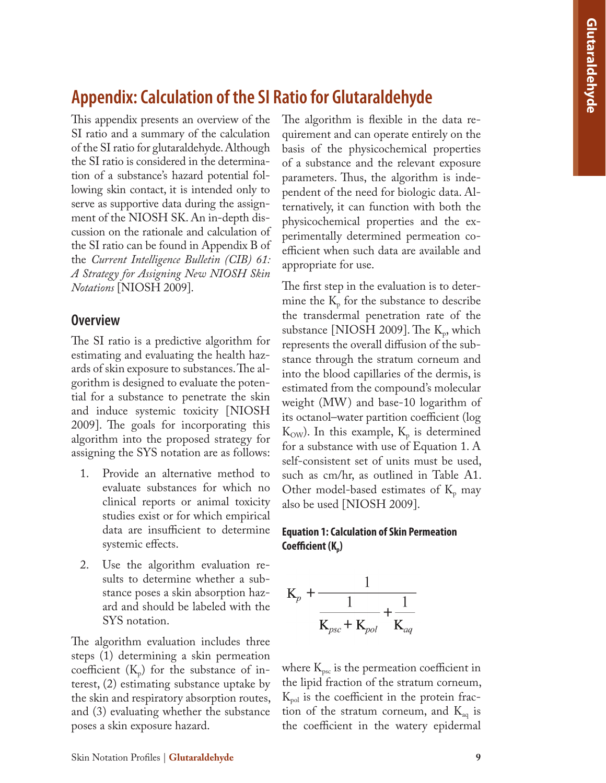# **Appendix: Calculation of the SI Ratio for Glutaraldehyde**

This appendix presents an overview of the SI ratio and a summary of the calculation of the SI ratio for glutaraldehyde. Although the SI ratio is considered in the determination of a substance's hazard potential following skin contact, it is intended only to serve as supportive data during the assignment of the NIOSH SK. An in-depth discussion on the rationale and calculation of the SI ratio can be found in Appendix B of the *Current Intelligence Bulletin (CIB) 61: A Strategy for Assigning New NIOSH Skin Notations* [NIOSH 2009].

#### **Overview**

The SI ratio is a predictive algorithm for estimating and evaluating the health hazards of skin exposure to substances. The algorithm is designed to evaluate the potential for a substance to penetrate the skin and induce systemic toxicity [NIOSH 2009]. The goals for incorporating this algorithm into the proposed strategy for assigning the SYS notation are as follows:

- 1. Provide an alternative method to evaluate substances for which no clinical reports or animal toxicity studies exist or for which empirical data are insufficient to determine systemic effects.
- 2. Use the algorithm evaluation results to determine whether a substance poses a skin absorption hazard and should be labeled with the SYS notation.

The algorithm evaluation includes three steps (1) determining a skin permeation coefficient  $(K_p)$  for the substance of interest, (2) estimating substance uptake by the skin and respiratory absorption routes, and (3) evaluating whether the substance poses a skin exposure hazard.

The algorithm is flexible in the data requirement and can operate entirely on the basis of the physicochemical properties of a substance and the relevant exposure parameters. Thus, the algorithm is independent of the need for biologic data. Alternatively, it can function with both the physicochemical properties and the experimentally determined permeation coefficient when such data are available and appropriate for use.

The first step in the evaluation is to determine the  $K_{p}$  for the substance to describe the transdermal penetration rate of the substance [NIOSH 2009]. The  $K_p$ , which represents the overall diffusion of the substance through the stratum corneum and into the blood capillaries of the dermis, is estimated from the compound's molecular weight (MW) and base-10 logarithm of its octanol–water partition coefficient (log  $K_{\text{OW}}$ ). In this example,  $K_p$  is determined for a substance with use of Equation 1. A self-consistent set of units must be used, such as cm/hr, as outlined in Table A1. Other model-based estimates of  $K_p$  may also be used [NIOSH 2009].

#### **Equation 1: Calculation of Skin Permeation Coefficient (K<sub>p</sub>)**



where  $K_{\text{psc}}$  is the permeation coefficient in the lipid fraction of the stratum corneum,  $K_{pol}$  is the coefficient in the protein fraction of the stratum corneum, and  $K_{aq}$  is the coefficient in the watery epidermal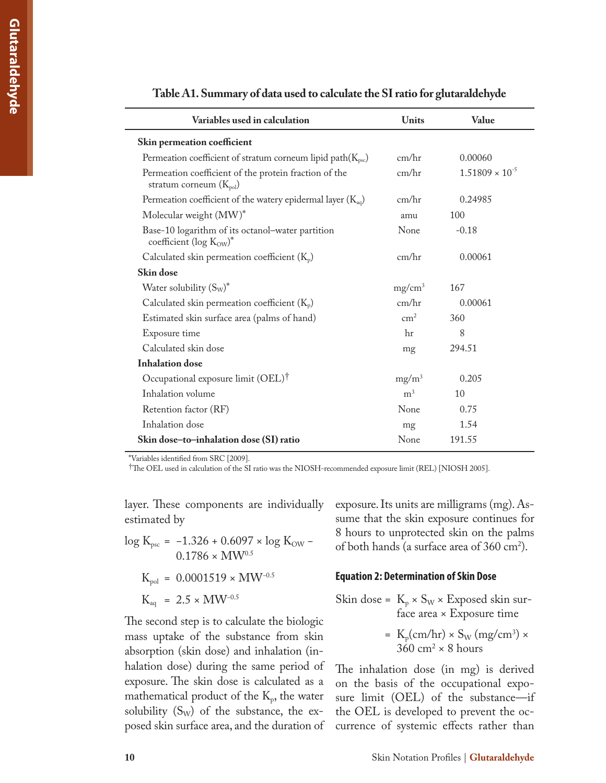| Variables used in calculation                                                        | Units          | Value                    |
|--------------------------------------------------------------------------------------|----------------|--------------------------|
| Skin permeation coefficient                                                          |                |                          |
| Permeation coefficient of stratum corneum lipid path $(K_{\text{psc}})$              | cm/hr          | 0.00060                  |
| Permeation coefficient of the protein fraction of the<br>stratum corneum $(K_{pol})$ | cm/hr          | $1.51809 \times 10^{-5}$ |
| Permeation coefficient of the watery epidermal layer $(K_{aq})$                      | cm/hr          | 0.24985                  |
| Molecular weight (MW)*                                                               | amu            | 100                      |
| Base-10 logarithm of its octanol-water partition<br>coefficient (log Kow)*           | None           | $-0.18$                  |
| Calculated skin permeation coefficient $(K_p)$                                       | cm/hr          | 0.00061                  |
| Skin dose                                                                            |                |                          |
| Water solubility $(S_W)^*$                                                           | $mg/cm^3$      | 167                      |
| Calculated skin permeation coefficient $(K_p)$                                       | cm/hr          | 0.00061                  |
| Estimated skin surface area (palms of hand)                                          | $\text{cm}^2$  | 360                      |
| Exposure time                                                                        | hr             | 8                        |
| Calculated skin dose                                                                 | mg             | 294.51                   |
| <b>Inhalation</b> dose                                                               |                |                          |
| Occupational exposure limit (OEL) <sup>†</sup>                                       | $mg/m^3$       | 0.205                    |
| Inhalation volume                                                                    | m <sup>3</sup> | 10                       |
| Retention factor (RF)                                                                | None           | 0.75                     |
| Inhalation dose                                                                      | mg             | 1.54                     |
| Skin dose-to-inhalation dose (SI) ratio                                              | None           | 191.55                   |

**Table A1. Summary of data used to calculate the SI ratio for glutaraldehyde** 

\*Variables identified from SRC [2009].

†The OEL used in calculation of the SI ratio was the NIOSH-recommended exposure limit (REL) [NIOSH 2005].

layer. These components are individually estimated by

log K<sub>psc</sub> =  $-1.326 + 0.6097 \times \log$  K<sub>OW</sub> –  $0.1786 \times MW^{0.5}$  $K_{pol} = 0.0001519 \times MW^{-0.5}$ 

$$
K_{aq}~=~2.5\times MW^{-0.5}
$$

The second step is to calculate the biologic mass uptake of the substance from skin absorption (skin dose) and inhalation (inhalation dose) during the same period of exposure. The skin dose is calculated as a mathematical product of the  $K_p$ , the water solubility  $(S_W)$  of the substance, the exposed skin surface area, and the duration of exposure. Its units are milligrams (mg). Assume that the skin exposure continues for 8 hours to unprotected skin on the palms of both hands (a surface area of  $360 \text{ cm}^2$ ).

#### **Equation 2: Determination of Skin Dose**

Skin dose = 
$$
K_p \times S_W \times Ex
$$
posed skin surface area × Exposure time

\n $\frac{dV}{dx} = \frac{dV}{dx}$ 

= 
$$
K_p(cm/hr) \times S_W (mg/cm^3) \times 360 \text{ cm}^2 \times 8 \text{ hours}
$$

The inhalation dose (in mg) is derived on the basis of the occupational exposure limit (OEL) of the substance—if the OEL is developed to prevent the occurrence of systemic effects rather than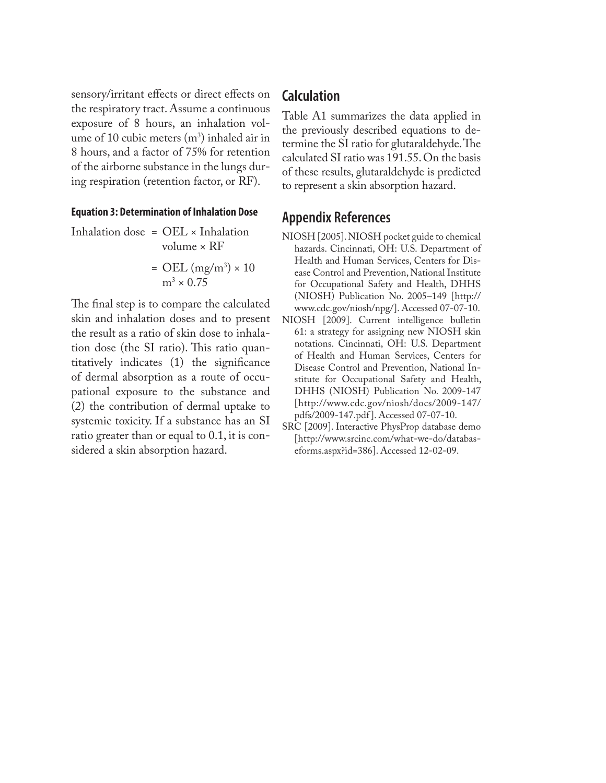sensory/irritant effects or direct effects on the respiratory tract. Assume a continuous exposure of 8 hours, an inhalation volume of 10 cubic meters  $(m^3)$  inhaled air in 8 hours, and a factor of 75% for retention of the airborne substance in the lungs during respiration (retention factor, or RF).

#### **Equation 3: Determination of Inhalation Dose**

Inhalation dose =  $OEL \times Inhalation$ volume × RF

$$
= \text{OEL (mg/m}^3) \times 10
$$

$$
m^3 \times 0.75
$$

The final step is to compare the calculated skin and inhalation doses and to present the result as a ratio of skin dose to inhalation dose (the SI ratio). This ratio quantitatively indicates (1) the significance of dermal absorption as a route of occupational exposure to the substance and (2) the contribution of dermal uptake to systemic toxicity. If a substance has an SI ratio greater than or equal to 0.1, it is considered a skin absorption hazard.

#### **Calculation**

Table A1 summarizes the data applied in the previously described equations to determine the SI ratio for glutaraldehyde. The calculated SI ratio was 191.55. On the basis of these results, glutaraldehyde is predicted to represent a skin absorption hazard.

### **Appendix References**

- NIOSH [2005]. NIOSH pocket guide to chemical hazards. Cincinnati, OH: U.S. Department of Health and Human Services, Centers for Disease Control and Prevention, National Institute for Occupational Safety and Health, DHHS (NIOSH) Publication No. 2005–149 [http:// www.cdc.gov/niosh/npg/]. Accessed 07-07-10.
- NIOSH [2009]. Current intelligence bulletin 61: a strategy for assigning new NIOSH skin notations. Cincinnati, OH: U.S. Department of Health and Human Services, Centers for Disease Control and Prevention, National Institute for Occupational Safety and Health, DHHS (NIOSH) Publication No. 2009-147 [http://www.cdc.gov/niosh/docs/2009-147/ pdfs/2009-147.pdf ]. Accessed 07-07-10.
- SRC [2009]. Interactive PhysProp database demo [http://www.srcinc.com/what-we-do/databaseforms.aspx?id=386]. Accessed 12-02-09.